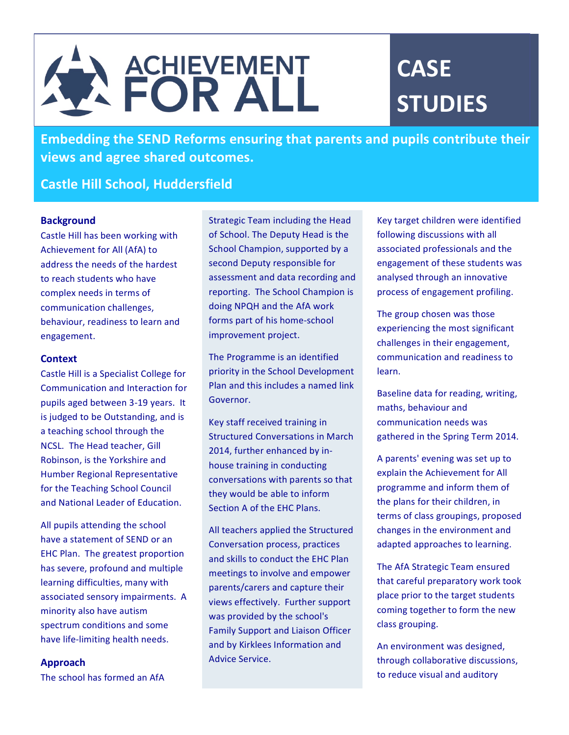# A ACHIEVEMENT

# **CASE STUDIES**

**Embedding the SEND Reforms ensuring that parents and pupils contribute their views and agree shared outcomes.**

## **Castle Hill School, Huddersfield**

#### **Background**

Castle Hill has been working with Achievement for All (AfA) to address the needs of the hardest to reach students who have complex needs in terms of communication challenges, behaviour, readiness to learn and engagement. 

#### **Context**

Castle Hill is a Specialist College for Communication and Interaction for pupils aged between 3-19 years. It is judged to be Outstanding, and is a teaching school through the NCSL. The Head teacher, Gill Robinson, is the Yorkshire and Humber Regional Representative for the Teaching School Council and National Leader of Education.

All pupils attending the school have a statement of SEND or an EHC Plan. The greatest proportion has severe, profound and multiple learning difficulties, many with associated sensory impairments. A minority also have autism spectrum conditions and some have life-limiting health needs.

#### **Approach**

The school has formed an AfA

Strategic Team including the Head of School. The Deputy Head is the School Champion, supported by a second Deputy responsible for assessment and data recording and reporting. The School Champion is doing NPQH and the AfA work forms part of his home-school improvement project.

The Programme is an identified priority in the School Development Plan and this includes a named link Governor. 

Key staff received training in Structured Conversations in March 2014, further enhanced by inhouse training in conducting conversations with parents so that they would be able to inform Section A of the FHC Plans.

All teachers applied the Structured Conversation process, practices and skills to conduct the EHC Plan meetings to involve and empower parents/carers and capture their views effectively. Further support was provided by the school's Family Support and Liaison Officer and by Kirklees Information and Advice Service.

Key target children were identified following discussions with all associated professionals and the engagement of these students was analysed through an innovative process of engagement profiling.

The group chosen was those experiencing the most significant challenges in their engagement, communication and readiness to learn. 

Baseline data for reading, writing, maths, behaviour and communication needs was gathered in the Spring Term 2014.

A parents' evening was set up to explain the Achievement for All programme and inform them of the plans for their children, in terms of class groupings, proposed changes in the environment and adapted approaches to learning.

The AfA Strategic Team ensured that careful preparatory work took place prior to the target students coming together to form the new class grouping.

An environment was designed, through collaborative discussions, to reduce visual and auditory